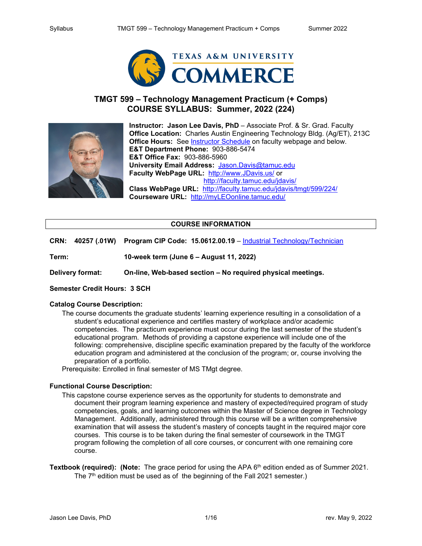

## **TMGT 599 – Technology Management Practicum (+ Comps) COURSE SYLLABUS: Summer, 2022 (224)**



**Instructor: Jason Lee Davis, PhD** – Associate Prof. & Sr. Grad. Faculty **Office Location:** Charles Austin Engineering Technology Bldg. (Ag/ET), 213C **Office Hours:** See [Instructor Schedule](http://faculty.tamuc.edu/jdavis/schedule/) on faculty webpage and below. **E&T Department Phone:** 903-886-5474 **E&T Office Fax:** 903-886-5960 **University Email Address:** [Jason.Davis@tamuc.edu](mailto:Jason.Davis@tamuc.edu) **Faculty WebPage URL:** [http://www.JDavis.us/](http://www.jdavis.us/) or <http://faculty.tamuc.edu/jdavis/> **Class WebPage URL:** <http://faculty.tamuc.edu/jdavis/tmgt/599/224/> **Courseware URL:** [http://myLEOonline.tamuc.edu/](http://myleoonline.tamuc.edu/)

## **COURSE INFORMATION**

**CRN: 40257 (.01W) Program CIP Code: 15.0612.00.19** – [Industrial Technology/Technician](https://nces.ed.gov/ipeds/cipcode/cipdetail.aspx?y=55&cip=15.0612)

**Term: 10-week term (June 6 – August 11, 2022)**

**Delivery format: On-line, Web-based section – No required physical meetings.**

## **Semester Credit Hours: 3 SCH**

#### **Catalog Course Description:**

The course documents the graduate students' learning experience resulting in a consolidation of a student's educational experience and certifies mastery of workplace and/or academic competencies. The practicum experience must occur during the last semester of the student's educational program. Methods of providing a capstone experience will include one of the following: comprehensive, discipline specific examination prepared by the faculty of the workforce education program and administered at the conclusion of the program; or, course involving the preparation of a portfolio.

Prerequisite: Enrolled in final semester of MS TMgt degree.

#### **Functional Course Description:**

- This capstone course experience serves as the opportunity for students to demonstrate and document their program learning experience and mastery of expected/required program of study competencies, goals, and learning outcomes within the Master of Science degree in Technology Management. Additionally, administered through this course will be a written comprehensive examination that will assess the student's mastery of concepts taught in the required major core courses. This course is to be taken during the final semester of coursework in the TMGT program following the completion of all core courses, or concurrent with one remaining core course.
- **Textbook (required): (Note:** The grace period for using the APA 6<sup>th</sup> edition ended as of Summer 2021. The  $7<sup>th</sup>$  edition must be used as of the beginning of the Fall 2021 semester.)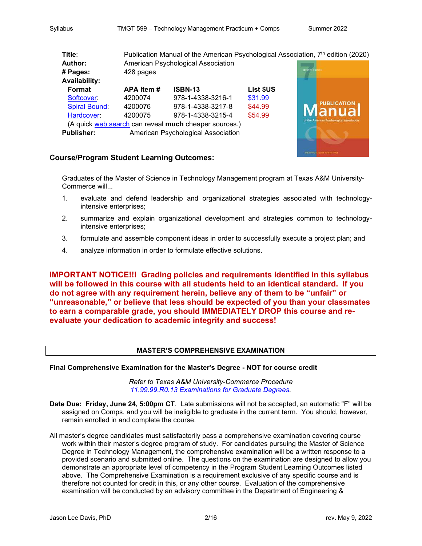| Title:                                                | Publication Manual of the American Psychological Association, 7 <sup>th</sup> edition (2020) |                   |           |                                           |
|-------------------------------------------------------|----------------------------------------------------------------------------------------------|-------------------|-----------|-------------------------------------------|
| Author:                                               | American Psychological Association                                                           |                   |           |                                           |
| # Pages:                                              | 428 pages                                                                                    |                   |           | <b>ISTENTA A</b>                          |
| <b>Availability:</b>                                  |                                                                                              |                   |           |                                           |
| Format                                                | APA Item#                                                                                    | <b>ISBN-13</b>    | List \$US |                                           |
| Softcover:                                            | 4200074                                                                                      | 978-1-4338-3216-1 | \$31.99   |                                           |
| <b>Spiral Bound:</b>                                  | 4200076                                                                                      | 978-1-4338-3217-8 | \$44.99   | <b>PUBLICATION</b>                        |
| Hardcover:                                            | 4200075                                                                                      | 978-1-4338-3215-4 | \$54.99   | lanual                                    |
| (A quick web search can reveal much cheaper sources.) |                                                                                              |                   |           | of the American Psychological Association |
| <b>Publisher:</b>                                     | American Psychological Association                                                           |                   |           |                                           |

## **Course/Program Student Learning Outcomes:**

Graduates of the Master of Science in Technology Management program at Texas A&M University-Commerce will...

- 1. evaluate and defend leadership and organizational strategies associated with technologyintensive enterprises;
- 2. summarize and explain organizational development and strategies common to technologyintensive enterprises;
- 3. formulate and assemble component ideas in order to successfully execute a project plan; and
- 4. analyze information in order to formulate effective solutions.

**IMPORTANT NOTICE!!! Grading policies and requirements identified in this syllabus will be followed in this course with all students held to an identical standard. If you do not agree with any requirement herein, believe any of them to be "unfair" or "unreasonable," or believe that less should be expected of you than your classmates to earn a comparable grade, you should IMMEDIATELY DROP this course and reevaluate your dedication to academic integrity and success!**

## **MASTER'S COMPREHENSIVE EXAMINATION**

**Final Comprehensive Examination for the Master's Degree - NOT for course credit**

*Refer to Texas A&M University-Commerce Procedure [11.99.99.R0.13 Examinations for Graduate Degrees.](http://www.tamuc.edu/aboutUs/policiesProceduresStandardsStatements/rulesProcedures/11centersDegreesPrograms/graduate/11.99.99.R0.13.pdf)*

- **Date Due: Friday, June 24, 5:00pm CT**. Late submissions will not be accepted, an automatic "F" will be assigned on Comps, and you will be ineligible to graduate in the current term. You should, however, remain enrolled in and complete the course.
- All master's degree candidates must satisfactorily pass a comprehensive examination covering course work within their master's degree program of study. For candidates pursuing the Master of Science Degree in Technology Management, the comprehensive examination will be a written response to a provided scenario and submitted online. The questions on the examination are designed to allow you demonstrate an appropriate level of competency in the Program Student Learning Outcomes listed above. The Comprehensive Examination is a requirement exclusive of any specific course and is therefore not counted for credit in this, or any other course. Evaluation of the comprehensive examination will be conducted by an advisory committee in the Department of Engineering &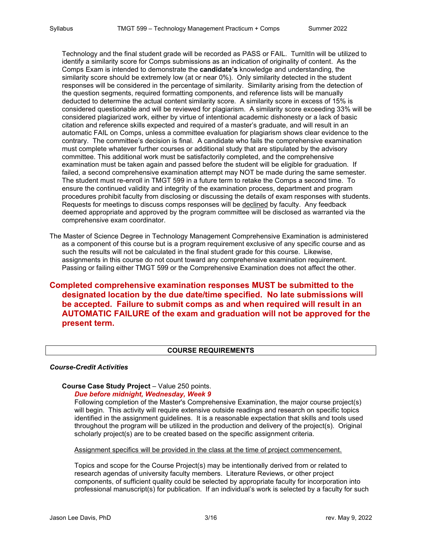Technology and the final student grade will be recorded as PASS or FAIL. TurnItIn will be utilized to identify a similarity score for Comps submissions as an indication of originality of content. As the Comps Exam is intended to demonstrate the **candidate's** knowledge and understanding, the similarity score should be extremely low (at or near 0%). Only similarity detected in the student responses will be considered in the percentage of similarity. Similarity arising from the detection of the question segments, required formatting components, and reference lists will be manually deducted to determine the actual content similarity score. A similarity score in excess of 15% is considered questionable and will be reviewed for plagiarism. A similarity score exceeding 33% will be considered plagiarized work, either by virtue of intentional academic dishonesty or a lack of basic citation and reference skills expected and required of a master's graduate, and will result in an automatic FAIL on Comps, unless a committee evaluation for plagiarism shows clear evidence to the contrary. The committee's decision is final. A candidate who fails the comprehensive examination must complete whatever further courses or additional study that are stipulated by the advisory committee. This additional work must be satisfactorily completed, and the comprehensive examination must be taken again and passed before the student will be eligible for graduation. If failed, a second comprehensive examination attempt may NOT be made during the same semester. The student must re-enroll in TMGT 599 in a future term to retake the Comps a second time. To ensure the continued validity and integrity of the examination process, department and program procedures prohibit faculty from disclosing or discussing the details of exam responses with students. Requests for meetings to discuss comps responses will be declined by faculty. Any feedback deemed appropriate and approved by the program committee will be disclosed as warranted via the comprehensive exam coordinator.

The Master of Science Degree in Technology Management Comprehensive Examination is administered as a component of this course but is a program requirement exclusive of any specific course and as such the results will not be calculated in the final student grade for this course. Likewise, assignments in this course do not count toward any comprehensive examination requirement. Passing or failing either TMGT 599 or the Comprehensive Examination does not affect the other.

**Completed comprehensive examination responses MUST be submitted to the designated location by the due date/time specified. No late submissions will be accepted. Failure to submit comps as and when required will result in an AUTOMATIC FAILURE of the exam and graduation will not be approved for the present term.**

## **COURSE REQUIREMENTS**

#### *Course-Credit Activities*

# **Course Case Study Project** – Value 250 points.

*Due before midnight, Wednesday, Week 9*

Following completion of the Master's Comprehensive Examination, the major course project(s) will begin. This activity will require extensive outside readings and research on specific topics identified in the assignment guidelines. It is a reasonable expectation that skills and tools used throughout the program will be utilized in the production and delivery of the project(s). Original scholarly project(s) are to be created based on the specific assignment criteria.

Assignment specifics will be provided in the class at the time of project commencement.

Topics and scope for the Course Project(s) may be intentionally derived from or related to research agendas of university faculty members. Literature Reviews, or other project components, of sufficient quality could be selected by appropriate faculty for incorporation into professional manuscript(s) for publication. If an individual's work is selected by a faculty for such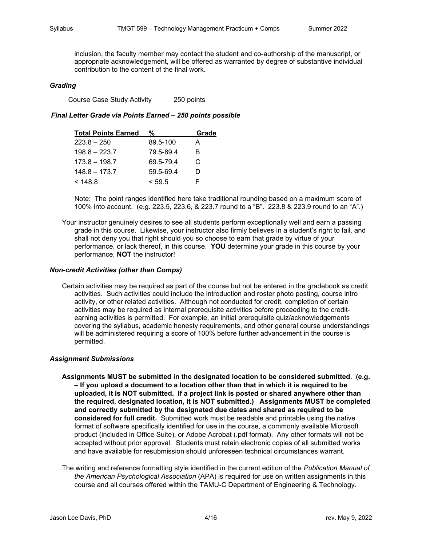inclusion, the faculty member may contact the student and co-authorship of the manuscript, or appropriate acknowledgement, will be offered as warranted by degree of substantive individual contribution to the content of the final work.

#### *Grading*

Course Case Study Activity 250 points

#### *Final Letter Grade via Points Earned – 250 points possible*

| <b>Total Points Earned</b> | %         | <u>Grade</u> |
|----------------------------|-----------|--------------|
| $223.8 - 250$              | 89.5-100  | А            |
| $198.8 - 223.7$            | 79.5-89.4 | B            |
| $173.8 - 198.7$            | 69.5-79.4 | C            |
| $148.8 - 173.7$            | 59.5-69.4 | D            |
| < 148.8                    | < 59.5    |              |

Note: The point ranges identified here take traditional rounding based on a maximum score of 100% into account. (e.g. 223.5, 223.6, & 223.7 round to a "B". 223.8 & 223.9 round to an "A".)

Your instructor genuinely desires to see all students perform exceptionally well and earn a passing grade in this course. Likewise, your instructor also firmly believes in a student's right to fail, and shall not deny you that right should you so choose to earn that grade by virtue of your performance, or lack thereof, in this course. **YOU** determine your grade in this course by your performance, **NOT** the instructor!

#### *Non-credit Activities (other than Comps)*

Certain activities may be required as part of the course but not be entered in the gradebook as credit activities. Such activities could include the introduction and roster photo posting, course intro activity, or other related activities. Although not conducted for credit, completion of certain activities may be required as internal prerequisite activities before proceeding to the creditearning activities is permitted. For example, an initial prerequisite quiz/acknowledgements covering the syllabus, academic honesty requirements, and other general course understandings will be administered requiring a score of 100% before further advancement in the course is permitted.

#### *Assignment Submissions*

- **Assignments MUST be submitted in the designated location to be considered submitted. (e.g. – If you upload a document to a location other than that in which it is required to be uploaded, it is NOT submitted. If a project link is posted or shared anywhere other than the required, designated location, it is NOT submitted.) Assignments MUST be completed and correctly submitted by the designated due dates and shared as required to be considered for full credit.** Submitted work must be readable and printable using the native format of software specifically identified for use in the course, a commonly available Microsoft product (included in Office Suite), or Adobe Acrobat (.pdf format). Any other formats will not be accepted without prior approval. Students must retain electronic copies of all submitted works and have available for resubmission should unforeseen technical circumstances warrant.
- The writing and reference formatting style identified in the current edition of the *Publication Manual of the American Psychological Association* (APA) is required for use on written assignments in this course and all courses offered within the TAMU-C Department of Engineering & Technology.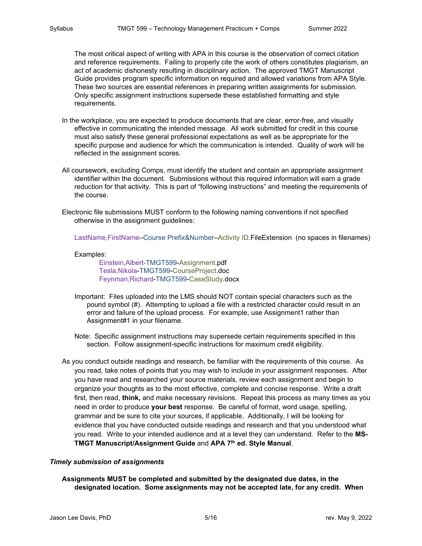The most critical aspect of writing with APA in this course is the observation of correct citation and reference requirements. Failing to properly cite the work of others constitutes plagiarism, an act of academic dishonesty resulting in disciplinary action. The approved TMGT Manuscript Guide provides program specific information on required and allowed variations from APA Style. These two sources are essential references in preparing written assignments for submission. Only specific assignment instructions supersede these established formatting and style requirements.

- In the workplace, you are expected to produce documents that are clear, error-free, and visually effective in communicating the intended message. All work submitted for credit in this course must also satisfy these general professional expectations as well as be appropriate for the specific purpose and audience for which the communication is intended. Quality of work will be reflected in the assignment scores.
- All coursework, excluding Comps, must identify the student and contain an appropriate assignment identifier within the document. Submissions without this required information will earn a grade reduction for that activity. This is part of "following instructions" and meeting the requirements of the course.

Electronic file submissions MUST conform to the following naming conventions if not specified otherwise in the assignment guidelines:

LastName,FirstName–Course Prefix&Number–Activity ID.FileExtension (no spaces in filenames)

#### Examples:

Einstein,Albert-TMGT599-Assignment.pdf Tesla,Nikola-TMGT599-CourseProject.doc Feynman,Richard-TMGT599-CaseStudy.docx

- Important: Files uploaded into the LMS should NOT contain special characters such as the pound symbol (#). Attempting to upload a file with a restricted character could result in an error and failure of the upload process. For example, use Assignment1 rather than Assignment#1 in your filename.
- Note: Specific assignment instructions may supersede certain requirements specified in this section. Follow assignment-specific instructions for maximum credit eligibility.
- As you conduct outside readings and research, be familiar with the requirements of this course. As you read, take notes of points that you may wish to include in your assignment responses. After you have read and researched your source materials, review each assignment and begin to organize your thoughts as to the most effective, complete and concise response. Write a draft first, then read, **think,** and make necessary revisions. Repeat this process as many times as you need in order to produce **your best** response. Be careful of format, word usage, spelling, grammar and be sure to cite your sources, if applicable. Additionally, I will be looking for evidence that you have conducted outside readings and research and that you understood what you read. Write to your intended audience and at a level they can understand. Refer to the **MS-TMGT Manuscript/Assignment Guide** and **APA 7th ed. Style Manual**.

#### *Timely submission of assignments*

**Assignments MUST be completed and submitted by the designated due dates, in the designated location. Some assignments may not be accepted late, for any credit. When**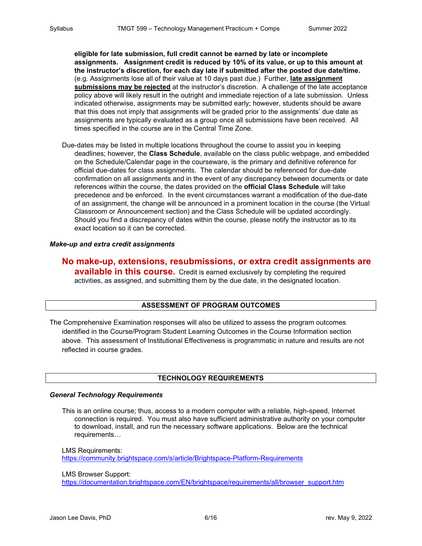**eligible for late submission, full credit cannot be earned by late or incomplete assignments. Assignment credit is reduced by 10% of its value, or up to this amount at the instructor's discretion, for each day late if submitted after the posted due date/time.** (e.g. Assignments lose all of their value at 10 days past due.) Further, **late assignment submissions may be rejected** at the instructor's discretion. A challenge of the late acceptance policy above will likely result in the outright and immediate rejection of a late submission. Unless indicated otherwise, assignments may be submitted early; however, students should be aware that this does not imply that assignments will be graded prior to the assignments' due date as assignments are typically evaluated as a group once all submissions have been received. All times specified in the course are in the Central Time Zone.

Due-dates may be listed in multiple locations throughout the course to assist you in keeping deadlines; however, the **Class Schedule**, available on the class public webpage, and embedded on the Schedule/Calendar page in the courseware, is the primary and definitive reference for official due-dates for class assignments. The calendar should be referenced for due-date confirmation on all assignments and in the event of any discrepancy between documents or date references within the course, the dates provided on the **official Class Schedule** will take precedence and be enforced. In the event circumstances warrant a modification of the due-date of an assignment, the change will be announced in a prominent location in the course (the Virtual Classroom or Announcement section) and the Class Schedule will be updated accordingly. Should you find a discrepancy of dates within the course, please notify the instructor as to its exact location so it can be corrected.

## *Make-up and extra credit assignments*

## **No make-up, extensions, resubmissions, or extra credit assignments are available in this course.** Credit is earned exclusively by completing the required activities, as assigned, and submitting them by the due date, in the designated location.

## **ASSESSMENT OF PROGRAM OUTCOMES**

The Comprehensive Examination responses will also be utilized to assess the program outcomes identified in the Course/Program Student Learning Outcomes in the Course Information section above. This assessment of Institutional Effectiveness is programmatic in nature and results are not reflected in course grades.

## **TECHNOLOGY REQUIREMENTS**

## *General Technology Requirements*

This is an online course; thus, access to a modern computer with a reliable, high-speed, Internet connection is required. You must also have sufficient administrative authority on your computer to download, install, and run the necessary software applications. Below are the technical requirements…

LMS Requirements: <https://community.brightspace.com/s/article/Brightspace-Platform-Requirements>

LMS Browser Support:

[https://documentation.brightspace.com/EN/brightspace/requirements/all/browser\\_support.htm](https://documentation.brightspace.com/EN/brightspace/requirements/all/browser_support.htm)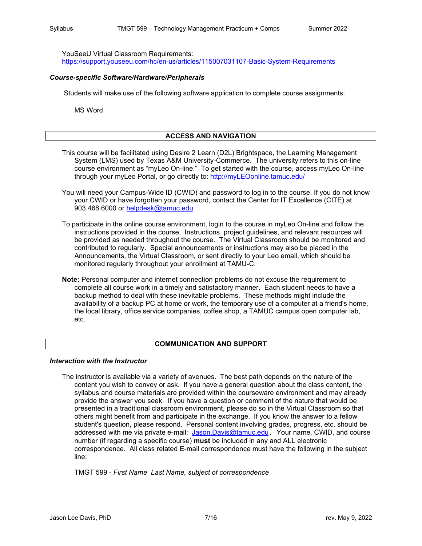YouSeeU Virtual Classroom Requirements:

<https://support.youseeu.com/hc/en-us/articles/115007031107-Basic-System-Requirements>

#### *Course-specific Software/Hardware/Peripherals*

Students will make use of the following software application to complete course assignments:

MS Word

## **ACCESS AND NAVIGATION**

- This course will be facilitated using Desire 2 Learn (D2L) Brightspace, the Learning Management System (LMS) used by Texas A&M University-Commerce. The university refers to this on-line course environment as "myLeo On-line." To get started with the course, access myLeo On-line through your myLeo Portal, or go directly to: [http://myLEOonline.tamuc.edu/](http://myleoonline.tamuc.edu/)
- You will need your Campus-Wide ID (CWID) and password to log in to the course. If you do not know your CWID or have forgotten your password, contact the Center for IT Excellence (CITE) at 903.468.6000 or [helpdesk@tamuc.edu.](mailto:helpdesk@tamuc.edu)
- To participate in the online course environment, login to the course in myLeo On-line and follow the instructions provided in the course. Instructions, project guidelines, and relevant resources will be provided as needed throughout the course. The Virtual Classroom should be monitored and contributed to regularly. Special announcements or instructions may also be placed in the Announcements, the Virtual Classroom, or sent directly to your Leo email, which should be monitored regularly throughout your enrollment at TAMU-C.
- **Note:** Personal computer and internet connection problems do not excuse the requirement to complete all course work in a timely and satisfactory manner. Each student needs to have a backup method to deal with these inevitable problems. These methods might include the availability of a backup PC at home or work, the temporary use of a computer at a friend's home, the local library, office service companies, coffee shop, a TAMUC campus open computer lab, etc.

#### **COMMUNICATION AND SUPPORT**

#### *Interaction with the Instructor*

The instructor is available via a variety of avenues. The best path depends on the nature of the content you wish to convey or ask. If you have a general question about the class content, the syllabus and course materials are provided within the courseware environment and may already provide the answer you seek. If you have a question or comment of the nature that would be presented in a traditional classroom environment, please do so in the Virtual Classroom so that others might benefit from and participate in the exchange. If you know the answer to a fellow student's question, please respond. Personal content involving grades, progress, etc. should be addressed with me via private e-mail: [Jason.Davis@tamuc.edu](mailto:Jason.Davis@tamuc.edu). Your name, CWID, and course number (if regarding a specific course) **must** be included in any and ALL electronic correspondence. All class related E-mail correspondence must have the following in the subject line:

TMGT 599 - *First Name Last Name, subject of correspondence*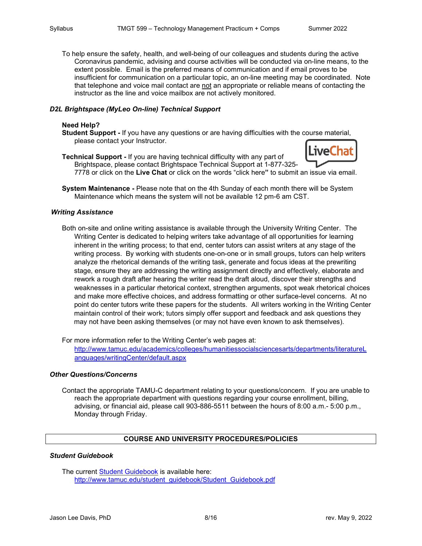To help ensure the safety, health, and well-being of our colleagues and students during the active Coronavirus pandemic, advising and course activities will be conducted via on-line means, to the extent possible. Email is the preferred means of communication and if email proves to be insufficient for communication on a particular topic, an on-line meeting may be coordinated. Note that telephone and voice mail contact are not an appropriate or reliable means of contacting the instructor as the line and voice mailbox are not actively monitored.

## *D2L Brightspace (MyLeo On-line) Technical Support*

## **Need Help?**

- **Student Support -** If you have any questions or are having difficulties with the course material, please contact your Instructor.
- **Technical Support -** If you are having technical difficulty with any part of Brightspace, please contact Brightspace Technical Support at 1-877-325-



7778 or click on the **Live Chat** or click on the words "click here**"** to submit an issue via email.

**System Maintenance -** Please note that on the 4th Sunday of each month there will be System Maintenance which means the system will not be available 12 pm-6 am CST.

#### *Writing Assistance*

Both on-site and online writing assistance is available through the University Writing Center. The Writing Center is dedicated to helping writers take advantage of all opportunities for learning inherent in the writing process; to that end, center tutors can assist writers at any stage of the writing process. By working with students one-on-one or in small groups, tutors can help writers analyze the rhetorical demands of the writing task, generate and focus ideas at the prewriting stage, ensure they are addressing the writing assignment directly and effectively, elaborate and rework a rough draft after hearing the writer read the draft aloud, discover their strengths and weaknesses in a particular rhetorical context, strengthen arguments, spot weak rhetorical choices and make more effective choices, and address formatting or other surface-level concerns. At no point do center tutors write these papers for the students. All writers working in the Writing Center maintain control of their work; tutors simply offer support and feedback and ask questions they may not have been asking themselves (or may not have even known to ask themselves).

For more information refer to the Writing Center's web pages at:

[http://www.tamuc.edu/academics/colleges/humanitiessocialsciencesarts/departments/literatureL](http://www.tamuc.edu/academics/colleges/humanitiessocialsciencesarts/departments/literatureLanguages/writingCenter/default.aspx) [anguages/writingCenter/default.aspx](http://www.tamuc.edu/academics/colleges/humanitiessocialsciencesarts/departments/literatureLanguages/writingCenter/default.aspx)

#### *Other Questions/Concerns*

Contact the appropriate TAMU-C department relating to your questions/concern. If you are unable to reach the appropriate department with questions regarding your course enrollment, billing, advising, or financial aid, please call 903-886-5511 between the hours of 8:00 a.m.- 5:00 p.m., Monday through Friday.

## **COURSE AND UNIVERSITY PROCEDURES/POLICIES**

## *Student Guidebook*

The current [Student Guidebook](http://www.tamuc.edu/student_guidebook/Student_Guidebook.pdf) is available here: http://www.tamuc.edu/student\_quidebook/Student\_Guidebook.pdf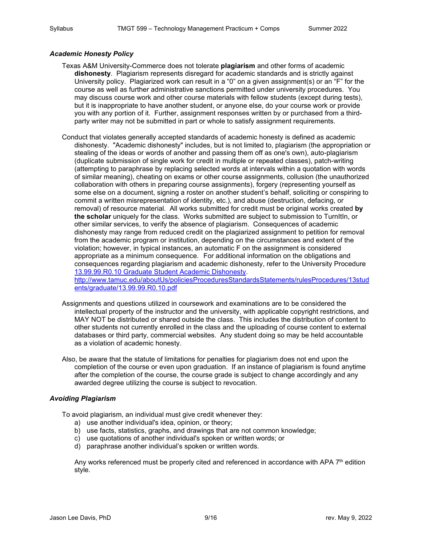## *Academic Honesty Policy*

- Texas A&M University-Commerce does not tolerate **plagiarism** and other forms of academic **dishonesty**. Plagiarism represents disregard for academic standards and is strictly against University policy. Plagiarized work can result in a "0" on a given assignment(s) or an "F" for the course as well as further administrative sanctions permitted under university procedures. You may discuss course work and other course materials with fellow students (except during tests), but it is inappropriate to have another student, or anyone else, do your course work or provide you with any portion of it. Further, assignment responses written by or purchased from a thirdparty writer may not be submitted in part or whole to satisfy assignment requirements.
- Conduct that violates generally accepted standards of academic honesty is defined as academic dishonesty. "Academic dishonesty" includes, but is not limited to, plagiarism (the appropriation or stealing of the ideas or words of another and passing them off as one's own), auto-plagiarism (duplicate submission of single work for credit in multiple or repeated classes), patch-writing (attempting to paraphrase by replacing selected words at intervals within a quotation with words of similar meaning), cheating on exams or other course assignments, collusion (the unauthorized collaboration with others in preparing course assignments), forgery (representing yourself as some else on a document, signing a roster on another student's behalf, soliciting or conspiring to commit a written misrepresentation of identity, etc.), and abuse (destruction, defacing, or removal) of resource material. All works submitted for credit must be original works created **by the scholar** uniquely for the class. Works submitted are subject to submission to TurnItIn, or other similar services, to verify the absence of plagiarism. Consequences of academic dishonesty may range from reduced credit on the plagiarized assignment to petition for removal from the academic program or institution, depending on the circumstances and extent of the violation; however, in typical instances, an automatic F on the assignment is considered appropriate as a minimum consequence. For additional information on the obligations and consequences regarding plagiarism and academic dishonesty, refer to the University Procedure [13.99.99.R0.10 Graduate Student Academic Dishonesty.](http://www.tamuc.edu/aboutUs/policiesProceduresStandardsStatements/rulesProcedures/13students/graduate/13.99.99.R0.10.pdf) [http://www.tamuc.edu/aboutUs/policiesProceduresStandardsStatements/rulesProcedures/13stud](http://www.tamuc.edu/aboutUs/policiesProceduresStandardsStatements/rulesProcedures/13students/graduate/13.99.99.R0.10.pdf)

[ents/graduate/13.99.99.R0.10.pdf](http://www.tamuc.edu/aboutUs/policiesProceduresStandardsStatements/rulesProcedures/13students/graduate/13.99.99.R0.10.pdf)

- Assignments and questions utilized in coursework and examinations are to be considered the intellectual property of the instructor and the university, with applicable copyright restrictions, and MAY NOT be distributed or shared outside the class. This includes the distribution of content to other students not currently enrolled in the class and the uploading of course content to external databases or third party, commercial websites. Any student doing so may be held accountable as a violation of academic honesty.
- Also, be aware that the statute of limitations for penalties for plagiarism does not end upon the completion of the course or even upon graduation. If an instance of plagiarism is found anytime after the completion of the course, the course grade is subject to change accordingly and any awarded degree utilizing the course is subject to revocation.

## *Avoiding Plagiarism*

To avoid plagiarism, an individual must give credit whenever they:

- a) use another individual's idea, opinion, or theory;
- b) use facts, statistics, graphs, and drawings that are not common knowledge;
- c) use quotations of another individual's spoken or written words; or
- d) paraphrase another individual's spoken or written words.

Any works referenced must be properly cited and referenced in accordance with APA 7<sup>th</sup> edition style.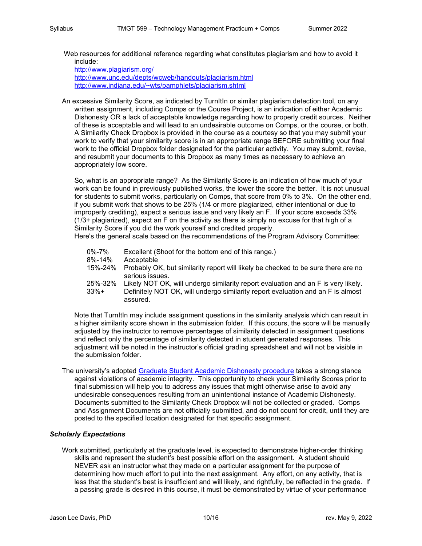Web resources for additional reference regarding what constitutes plagiarism and how to avoid it include:

<http://www.plagiarism.org/> <http://www.unc.edu/depts/wcweb/handouts/plagiarism.html> http://www.indiana.edu/~wts/pamphlets/plagiarism.shtml

An excessive Similarity Score, as indicated by TurnItIn or similar plagiarism detection tool, on any written assignment, including Comps or the Course Project, is an indication of either Academic Dishonesty OR a lack of acceptable knowledge regarding how to properly credit sources. Neither of these is acceptable and will lead to an undesirable outcome on Comps, or the course, or both. A Similarity Check Dropbox is provided in the course as a courtesy so that you may submit your work to verify that your similarity score is in an appropriate range BEFORE submitting your final work to the official Dropbox folder designated for the particular activity. You may submit, revise, and resubmit your documents to this Dropbox as many times as necessary to achieve an appropriately low score.

So, what is an appropriate range? As the Similarity Score is an indication of how much of your work can be found in previously published works, the lower the score the better. It is not unusual for students to submit works, particularly on Comps, that score from 0% to 3%. On the other end, if you submit work that shows to be 25% (1/4 or more plagiarized, either intentional or due to improperly crediting), expect a serious issue and very likely an F. If your score exceeds 33% (1/3+ plagiarized), expect an F on the activity as there is simply no excuse for that high of a Similarity Score if you did the work yourself and credited properly.

Here's the general scale based on the recommendations of the Program Advisory Committee:

| 0%-7%           | Excellent (Shoot for the bottom end of this range.)                                                                                                                              |
|-----------------|----------------------------------------------------------------------------------------------------------------------------------------------------------------------------------|
| 8%-14%          | Acceptable                                                                                                                                                                       |
| 15%-24%         | Probably OK, but similarity report will likely be checked to be sure there are no<br>serious issues.                                                                             |
| 25%-32%<br>33%+ | Likely NOT OK, will undergo similarity report evaluation and an F is very likely.<br>Definitely NOT OK, will undergo similarity report evaluation and an F is almost<br>assured. |

Note that TurnItIn may include assignment questions in the similarity analysis which can result in a higher similarity score shown in the submission folder. If this occurs, the score will be manually adjusted by the instructor to remove percentages of similarity detected in assignment questions and reflect only the percentage of similarity detected in student generated responses. This adjustment will be noted in the instructor's official grading spreadsheet and will not be visible in the submission folder.

The university's adopted [Graduate Student Academic Dishonesty procedure](http://www.tamuc.edu/aboutUs/policiesProceduresStandardsStatements/rulesProcedures/13students/graduate/13.99.99.R0.10.pdf) takes a strong stance against violations of academic integrity. This opportunity to check your Similarity Scores prior to final submission will help you to address any issues that might otherwise arise to avoid any undesirable consequences resulting from an unintentional instance of Academic Dishonesty. Documents submitted to the Similarity Check Dropbox will not be collected or graded. Comps and Assignment Documents are not officially submitted, and do not count for credit, until they are posted to the specified location designated for that specific assignment.

#### *Scholarly Expectations*

Work submitted, particularly at the graduate level, is expected to demonstrate higher-order thinking skills and represent the student's best possible effort on the assignment. A student should NEVER ask an instructor what they made on a particular assignment for the purpose of determining how much effort to put into the next assignment. Any effort, on any activity, that is less that the student's best is insufficient and will likely, and rightfully, be reflected in the grade. If a passing grade is desired in this course, it must be demonstrated by virtue of your performance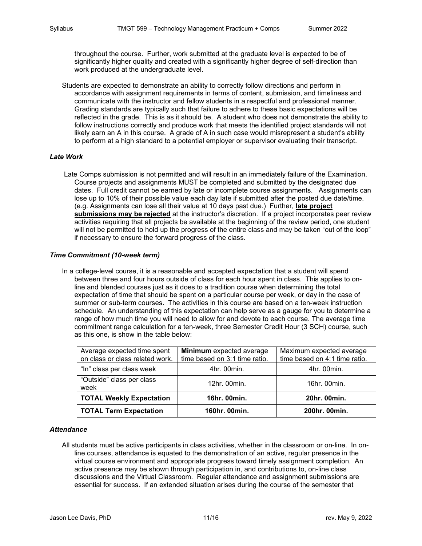throughout the course. Further, work submitted at the graduate level is expected to be of significantly higher quality and created with a significantly higher degree of self-direction than work produced at the undergraduate level.

Students are expected to demonstrate an ability to correctly follow directions and perform in accordance with assignment requirements in terms of content, submission, and timeliness and communicate with the instructor and fellow students in a respectful and professional manner. Grading standards are typically such that failure to adhere to these basic expectations will be reflected in the grade. This is as it should be. A student who does not demonstrate the ability to follow instructions correctly and produce work that meets the identified project standards will not likely earn an A in this course. A grade of A in such case would misrepresent a student's ability to perform at a high standard to a potential employer or supervisor evaluating their transcript.

## *Late Work*

Late Comps submission is not permitted and will result in an immediately failure of the Examination. Course projects and assignments MUST be completed and submitted by the designated due dates. Full credit cannot be earned by late or incomplete course assignments. Assignments can lose up to 10% of their possible value each day late if submitted after the posted due date/time. (e.g. Assignments can lose all their value at 10 days past due.) Further, **late project submissions may be rejected** at the instructor's discretion. If a project incorporates peer review activities requiring that all projects be available at the beginning of the review period, one student will not be permitted to hold up the progress of the entire class and may be taken "out of the loop" if necessary to ensure the forward progress of the class.

#### *Time Commitment (10-week term)*

In a college-level course, it is a reasonable and accepted expectation that a student will spend between three and four hours outside of class for each hour spent in class. This applies to online and blended courses just as it does to a tradition course when determining the total expectation of time that should be spent on a particular course per week, or day in the case of summer or sub-term courses. The activities in this course are based on a ten-week instruction schedule. An understanding of this expectation can help serve as a gauge for you to determine a range of how much time you will need to allow for and devote to each course. The average time commitment range calculation for a ten-week, three Semester Credit Hour (3 SCH) course, such as this one, is show in the table below:

| Average expected time spent<br>on class or class related work. | Minimum expected average<br>time based on 3:1 time ratio. | Maximum expected average<br>time based on 4:1 time ratio. |  |
|----------------------------------------------------------------|-----------------------------------------------------------|-----------------------------------------------------------|--|
| "In" class per class week                                      | 4hr. 00min.                                               | 4hr. 00min.                                               |  |
| "Outside" class per class<br>week                              | 12hr. 00min.                                              | 16hr. 00min.                                              |  |
| <b>TOTAL Weekly Expectation</b>                                | 16hr. 00min.                                              | 20hr. 00min.                                              |  |
| <b>TOTAL Term Expectation</b>                                  | 160hr. 00min.                                             | 200hr. 00min.                                             |  |

## *Attendance*

All students must be active participants in class activities, whether in the classroom or on-line. In online courses, attendance is equated to the demonstration of an active, regular presence in the virtual course environment and appropriate progress toward timely assignment completion. An active presence may be shown through participation in, and contributions to, on-line class discussions and the Virtual Classroom. Regular attendance and assignment submissions are essential for success. If an extended situation arises during the course of the semester that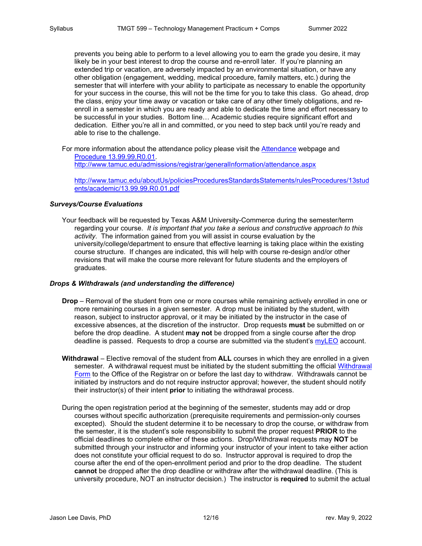prevents you being able to perform to a level allowing you to earn the grade you desire, it may likely be in your best interest to drop the course and re-enroll later. If you're planning an extended trip or vacation, are adversely impacted by an environmental situation, or have any other obligation (engagement, wedding, medical procedure, family matters, etc.) during the semester that will interfere with your ability to participate as necessary to enable the opportunity for your success in the course, this will not be the time for you to take this class. Go ahead, drop the class, enjoy your time away or vacation or take care of any other timely obligations, and reenroll in a semester in which you are ready and able to dedicate the time and effort necessary to be successful in your studies. Bottom line… Academic studies require significant effort and dedication. Either you're all in and committed, or you need to step back until you're ready and able to rise to the challenge.

For more information about the attendance policy please visit the [Attendance](http://www.tamuc.edu/admissions/registrar/generalInformation/attendance.aspx) webpage and [Procedure 13.99.99.R0.01.](http://www.tamuc.edu/aboutUs/policiesProceduresStandardsStatements/rulesProcedures/13students/academic/13.99.99.R0.01.pdf)

<http://www.tamuc.edu/admissions/registrar/generalInformation/attendance.aspx>

[http://www.tamuc.edu/aboutUs/policiesProceduresStandardsStatements/rulesProcedures/13stud](http://www.tamuc.edu/aboutUs/policiesProceduresStandardsStatements/rulesProcedures/13students/academic/13.99.99.R0.01.pdf) [ents/academic/13.99.99.R0.01.pdf](http://www.tamuc.edu/aboutUs/policiesProceduresStandardsStatements/rulesProcedures/13students/academic/13.99.99.R0.01.pdf)

## *Surveys/Course Evaluations*

Your feedback will be requested by Texas A&M University-Commerce during the semester/term regarding your course. *It is important that you take a serious and constructive approach to this activity.* The information gained from you will assist in course evaluation by the university/college/department to ensure that effective learning is taking place within the existing course structure. If changes are indicated, this will help with course re-design and/or other revisions that will make the course more relevant for future students and the employers of graduates.

#### *Drops & Withdrawals (and understanding the difference)*

- **Drop** Removal of the student from one or more courses while remaining actively enrolled in one or more remaining courses in a given semester. A drop must be initiated by the student, with reason, subject to instructor approval, or it may be initiated by the instructor in the case of excessive absences, at the discretion of the instructor. Drop requests **must** be submitted on or before the drop deadline. A student **may not** be dropped from a single course after the drop deadline is passed. Requests to drop a course are submitted via the student's [myLEO](https://leoportal.tamuc.edu/) account.
- **Withdrawal** Elective removal of the student from **ALL** courses in which they are enrolled in a given semester. A withdrawal request must be initiated by the student submitting the official [Withdrawal](https://dms.tamuc.edu/Forms/withdrawalform)  [Form](https://dms.tamuc.edu/Forms/withdrawalform) to the Office of the Registrar on or before the last day to withdraw. Withdrawals cannot be initiated by instructors and do not require instructor approval; however, the student should notify their instructor(s) of their intent **prior** to initiating the withdrawal process.
- During the open registration period at the beginning of the semester, students may add or drop courses without specific authorization (prerequisite requirements and permission-only courses excepted). Should the student determine it to be necessary to drop the course, or withdraw from the semester, it is the student's sole responsibility to submit the proper request **PRIOR** to the official deadlines to complete either of these actions. Drop/Withdrawal requests may **NOT** be submitted through your instructor and informing your instructor of your intent to take either action does not constitute your official request to do so. Instructor approval is required to drop the course after the end of the open-enrollment period and prior to the drop deadline. The student **cannot** be dropped after the drop deadline or withdraw after the withdrawal deadline. (This is university procedure, NOT an instructor decision.) The instructor is **required** to submit the actual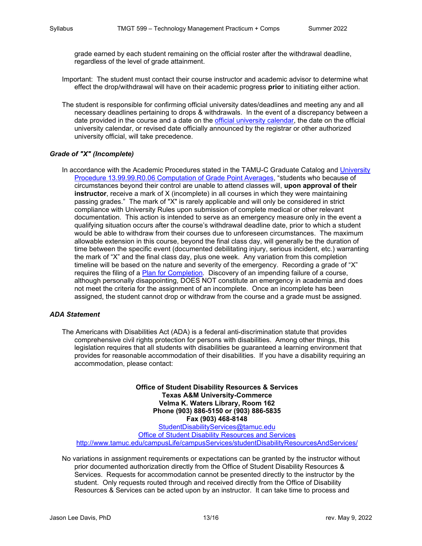grade earned by each student remaining on the official roster after the withdrawal deadline, regardless of the level of grade attainment.

- Important: The student must contact their course instructor and academic advisor to determine what effect the drop/withdrawal will have on their academic progress **prior** to initiating either action.
- The student is responsible for confirming official university dates/deadlines and meeting any and all necessary deadlines pertaining to drops & withdrawals. In the event of a discrepancy between a date provided in the course and a date on the [official university calendar,](https://calendar.tamuc.edu/academic) the date on the official university calendar, or revised date officially announced by the registrar or other authorized university official, will take precedence.

## *Grade of "X" (Incomplete)*

In accordance with the Academic Procedures stated in the TAMU-C Graduate Catalog and [University](http://www.tamuc.edu/aboutUs/policiesProceduresStandardsStatements/rulesProcedures/13students/academic/13.99.99.R0.06.pdf)  [Procedure 13.99.99.R0.06 Computation of Grade Point Averages,](http://www.tamuc.edu/aboutUs/policiesProceduresStandardsStatements/rulesProcedures/13students/academic/13.99.99.R0.06.pdf) "students who because of circumstances beyond their control are unable to attend classes will, **upon approval of their instructor**, receive a mark of X (incomplete) in all courses in which they were maintaining passing grades." The mark of "X" is rarely applicable and will only be considered in strict compliance with University Rules upon submission of complete medical or other relevant documentation. This action is intended to serve as an emergency measure only in the event a qualifying situation occurs after the course's withdrawal deadline date, prior to which a student would be able to withdraw from their courses due to unforeseen circumstances. The maximum allowable extension in this course, beyond the final class day, will generally be the duration of time between the specific event (documented debilitating injury, serious incident, etc.) warranting the mark of "X" and the final class day, plus one week. Any variation from this completion timeline will be based on the nature and severity of the emergency. Recording a grade of "X" requires the filing of a [Plan for Completion.](http://www.tamuc.edu/aboutUs/policiesProceduresStandardsStatements/rulesProcedures/documents/PlanForCompletingTheGradeOfX.pdf) Discovery of an impending failure of a course, although personally disappointing, DOES NOT constitute an emergency in academia and does not meet the criteria for the assignment of an incomplete. Once an incomplete has been assigned, the student cannot drop or withdraw from the course and a grade must be assigned.

#### *ADA Statement*

The Americans with Disabilities Act (ADA) is a federal anti-discrimination statute that provides comprehensive civil rights protection for persons with disabilities. Among other things, this legislation requires that all students with disabilities be guaranteed a learning environment that provides for reasonable accommodation of their disabilities. If you have a disability requiring an accommodation, please contact:

**Office of Student Disability Resources & Services Texas A&M University-Commerce Velma K. Waters Library, Room 162 Phone (903) 886-5150 or (903) 886-5835 Fax (903) 468-8148** [StudentDisabilityServices@tamuc.edu](mailto:StudentDisabilityServices@tamuc.edu) [Office of Student Disability Resources and Services](http://www.tamuc.edu/campusLife/campusServices/studentDisabilityResourcesAndServices/) <http://www.tamuc.edu/campusLife/campusServices/studentDisabilityResourcesAndServices/>

No variations in assignment requirements or expectations can be granted by the instructor without prior documented authorization directly from the Office of Student Disability Resources & Services. Requests for accommodation cannot be presented directly to the instructor by the student. Only requests routed through and received directly from the Office of Disability Resources & Services can be acted upon by an instructor. It can take time to process and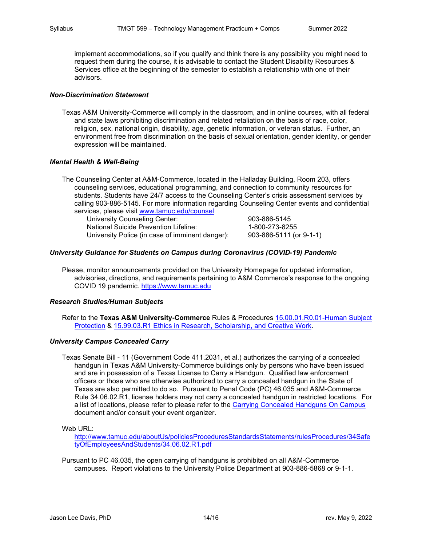implement accommodations, so if you qualify and think there is any possibility you might need to request them during the course, it is advisable to contact the Student Disability Resources & Services office at the beginning of the semester to establish a relationship with one of their advisors.

#### *Non-Discrimination Statement*

Texas A&M University-Commerce will comply in the classroom, and in online courses, with all federal and state laws prohibiting discrimination and related retaliation on the basis of race, color, religion, sex, national origin, disability, age, genetic information, or veteran status. Further, an environment free from discrimination on the basis of sexual orientation, gender identity, or gender expression will be maintained.

## *Mental Health & Well-Being*

The Counseling Center at A&M-Commerce, located in the Halladay Building, Room 203, offers counseling services, educational programming, and connection to community resources for students. Students have 24/7 access to the Counseling Center's crisis assessment services by calling 903-886-5145. For more information regarding Counseling Center events and confidential services, please visit [www.tamuc.edu/counsel](http://www.tamuc.edu/counsel)

University Counseling Center: 903-886-5145 National Suicide Prevention Lifeline: 1-800-273-8255<br>University Police (in case of imminent danger): 903-886-5111 (or 9-1-1) University Police (in case of imminent danger):

## *University Guidance for Students on Campus during Coronavirus (COVID-19) Pandemic*

Please, monitor announcements provided on the University Homepage for updated information, advisories, directions, and requirements pertaining to A&M Commerce's response to the ongoing COVID 19 pandemic. [https://www.tamuc.edu](https://www.tamuc.edu/)

#### *Research Studies/Human Subjects*

Refer to the **Texas A&M University-Commerce** Rules & Procedures [15.00.01.R0.01-Human Subject](http://www.tamuc.edu/aboutUs/policiesProceduresStandardsStatements/rulesProcedures/15ResearchPrograms/15.99.01.R1.pdf)  [Protection](http://www.tamuc.edu/aboutUs/policiesProceduresStandardsStatements/rulesProcedures/15ResearchPrograms/15.99.01.R1.pdf) & [15.99.03.R1 Ethics in Research, Scholarship, and Creative Work.](http://www.tamuc.edu/aboutUs/policiesProceduresStandardsStatements/rulesProcedures/15ResearchPrograms/15.99.03.R1.pdf)

#### *University Campus Concealed Carry*

Texas Senate Bill - 11 (Government Code 411.2031, et al.) authorizes the carrying of a concealed handgun in Texas A&M University-Commerce buildings only by persons who have been issued and are in possession of a Texas License to Carry a Handgun. Qualified law enforcement officers or those who are otherwise authorized to carry a concealed handgun in the State of Texas are also permitted to do so. Pursuant to Penal Code (PC) 46.035 and A&M-Commerce Rule 34.06.02.R1, license holders may not carry a concealed handgun in restricted locations. For a list of locations, please refer to please refer to the [Carrying Concealed Handguns On Campus](http://www.tamuc.edu/aboutUs/policiesProceduresStandardsStatements/rulesProcedures/34SafetyOfEmployeesAndStudents/34.06.02.R1.pdf) document and/or consult your event organizer.

Web URL:

[http://www.tamuc.edu/aboutUs/policiesProceduresStandardsStatements/rulesProcedures/34Safe](http://www.tamuc.edu/aboutUs/policiesProceduresStandardsStatements/rulesProcedures/34SafetyOfEmployeesAndStudents/34.06.02.R1.pdf) [tyOfEmployeesAndStudents/34.06.02.R1.pdf](http://www.tamuc.edu/aboutUs/policiesProceduresStandardsStatements/rulesProcedures/34SafetyOfEmployeesAndStudents/34.06.02.R1.pdf)

Pursuant to PC 46.035, the open carrying of handguns is prohibited on all A&M-Commerce campuses. Report violations to the University Police Department at 903-886-5868 or 9-1-1.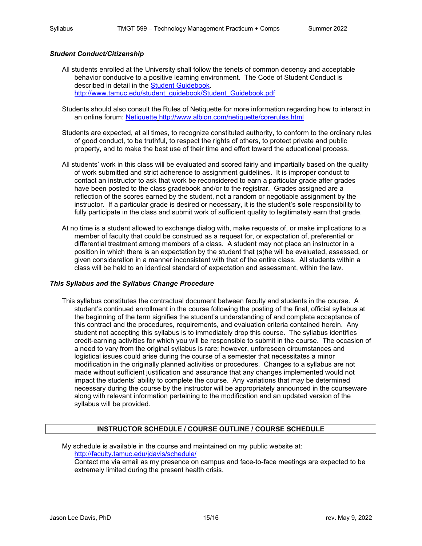#### *Student Conduct/Citizenship*

- All students enrolled at the University shall follow the tenets of common decency and acceptable behavior conducive to a positive learning environment. The Code of Student Conduct is described in detail in the [Student Guidebook.](http://www.tamuc.edu/student_guidebook/Student_Guidebook.pdf) [http://www.tamuc.edu/student\\_guidebook/Student\\_Guidebook.pdf](http://www.tamuc.edu/student_guidebook/Student_Guidebook.pdf)
- Students should also consult the Rules of Netiquette for more information regarding how to interact in an online forum: [Netiquette](http://www.albion.com/netiquette/corerules.html) <http://www.albion.com/netiquette/corerules.html>
- Students are expected, at all times, to recognize constituted authority, to conform to the ordinary rules of good conduct, to be truthful, to respect the rights of others, to protect private and public property, and to make the best use of their time and effort toward the educational process.
- All students' work in this class will be evaluated and scored fairly and impartially based on the quality of work submitted and strict adherence to assignment guidelines. It is improper conduct to contact an instructor to ask that work be reconsidered to earn a particular grade after grades have been posted to the class gradebook and/or to the registrar. Grades assigned are a reflection of the scores earned by the student, not a random or negotiable assignment by the instructor. If a particular grade is desired or necessary, it is the student's **sole** responsibility to fully participate in the class and submit work of sufficient quality to legitimately earn that grade.
- At no time is a student allowed to exchange dialog with, make requests of, or make implications to a member of faculty that could be construed as a request for, or expectation of, preferential or differential treatment among members of a class. A student may not place an instructor in a position in which there is an expectation by the student that (s)he will be evaluated, assessed, or given consideration in a manner inconsistent with that of the entire class. All students within a class will be held to an identical standard of expectation and assessment, within the law.

#### *This Syllabus and the Syllabus Change Procedure*

This syllabus constitutes the contractual document between faculty and students in the course. A student's continued enrollment in the course following the posting of the final, official syllabus at the beginning of the term signifies the student's understanding of and complete acceptance of this contract and the procedures, requirements, and evaluation criteria contained herein. Any student not accepting this syllabus is to immediately drop this course. The syllabus identifies credit-earning activities for which you will be responsible to submit in the course. The occasion of a need to vary from the original syllabus is rare; however, unforeseen circumstances and logistical issues could arise during the course of a semester that necessitates a minor modification in the originally planned activities or procedures. Changes to a syllabus are not made without sufficient justification and assurance that any changes implemented would not impact the students' ability to complete the course. Any variations that may be determined necessary during the course by the instructor will be appropriately announced in the courseware along with relevant information pertaining to the modification and an updated version of the syllabus will be provided.

## **INSTRUCTOR SCHEDULE / COURSE OUTLINE / COURSE SCHEDULE**

My schedule is available in the course and maintained on my public website at: <http://faculty.tamuc.edu/jdavis/schedule/>

Contact me via email as my presence on campus and face-to-face meetings are expected to be extremely limited during the present health crisis.